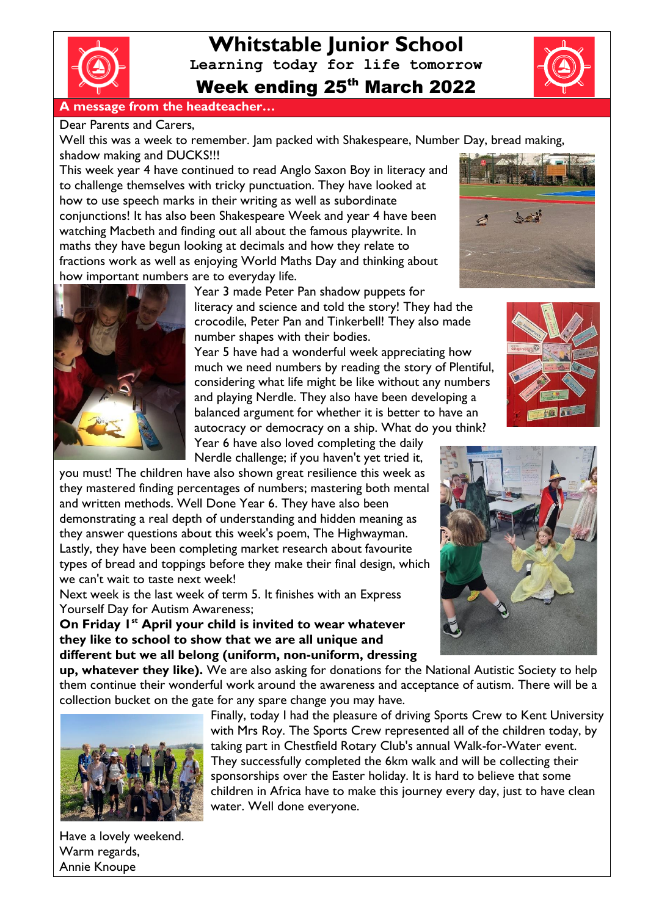

**Whitstable Junior School Learning today for life tomorrow** Week ending 25th March 2022

### **A message from the headteacher…**

Dear Parents and Carers,

Well this was a week to remember. Jam packed with Shakespeare, Number Day, bread making, shadow making and DUCKS!!!

This week year 4 have continued to read Anglo Saxon Boy in literacy and to challenge themselves with tricky punctuation. They have looked at how to use speech marks in their writing as well as subordinate conjunctions! It has also been Shakespeare Week and year 4 have been watching Macbeth and finding out all about the famous playwrite. In maths they have begun looking at decimals and how they relate to fractions work as well as enjoying World Maths Day and thinking about how important numbers are to everyday life.



Year 3 made Peter Pan shadow puppets for literacy and science and told the story! They had the crocodile, Peter Pan and Tinkerbell! They also made number shapes with their bodies.

Year 5 have had a wonderful week appreciating how much we need numbers by reading the story of Plentiful, considering what life might be like without any numbers and playing Nerdle. They also have been developing a balanced argument for whether it is better to have an autocracy or democracy on a ship. What do you think?

Year 6 have also loved completing the daily Nerdle challenge; if you haven't yet tried it,

you must! The children have also shown great resilience this week as they mastered finding percentages of numbers; mastering both mental and written methods. Well Done Year 6. They have also been demonstrating a real depth of understanding and hidden meaning as they answer questions about this week's poem, The Highwayman. Lastly, they have been completing market research about favourite types of bread and toppings before they make their final design, which we can't wait to taste next week!

Next week is the last week of term 5. It finishes with an Express Yourself Day for Autism Awareness;

**On Friday 1st April your child is invited to wear whatever they like to school to show that we are all unique and different but we all belong (uniform, non-uniform, dressing** 







**up, whatever they like).** We are also asking for donations for the National Autistic Society to help them continue their wonderful work around the awareness and acceptance of autism. There will be a collection bucket on the gate for any spare change you may have.



Finally, today I had the pleasure of driving Sports Crew to Kent University with Mrs Roy. The Sports Crew represented all of the children today, by taking part in Chestfield Rotary Club's annual Walk-for-Water event. They successfully completed the 6km walk and will be collecting their sponsorships over the Easter holiday. It is hard to believe that some children in Africa have to make this journey every day, just to have clean water. Well done everyone.

Have a lovely weekend. Warm regards, Annie Knoupe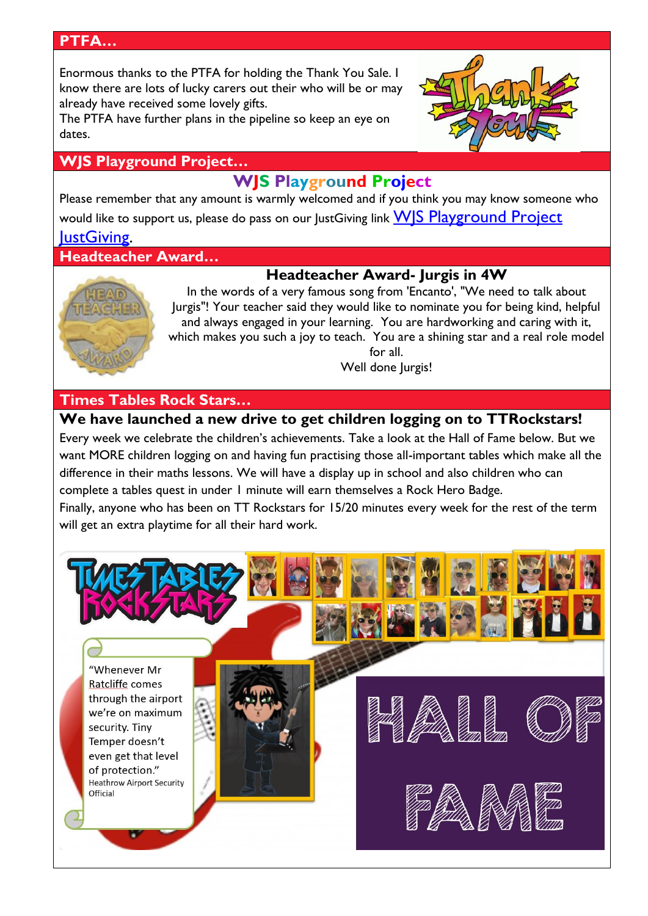### **PTFA…**

Enormous thanks to the PTFA for holding the Thank You Sale. I know there are lots of lucky carers out their who will be or may already have received some lovely gifts.

The PTFA have further plans in the pipeline so keep an eye on dates.

### **WJS Playground Project…**

# **WJS Playground Project**

Please remember that any amount is warmly welcomed and if you think you may know someone who would like to support us, please do pass on our JustGiving link WS Playground Project **[JustGiving.](https://www.justgiving.com/crowdfunding/wjsplaygroundproject?utm_term=Egn8J7jwd)** 

**Headteacher Award…**

# **Headteacher Award- Jurgis in 4W**



In the words of a very famous song from 'Encanto', "We need to talk about Jurgis"! Your teacher said they would like to nominate you for being kind, helpful and always engaged in your learning. You are hardworking and caring with it, which makes you such a joy to teach. You are a shining star and a real role model for all.

Well done Jurgis!

# **Times Tables Rock Stars…**

# **We have launched a new drive to get children logging on to TTRockstars!**

Every week we celebrate the children's achievements. Take a look at the Hall of Fame below. But we want MORE children logging on and having fun practising those all-important tables which make all the difference in their maths lessons. We will have a display up in school and also children who can complete a tables quest in under 1 minute will earn themselves a Rock Hero Badge.

Finally, anyone who has been on TT Rockstars for 15/20 minutes every week for the rest of the term will get an extra playtime for all their hard work.